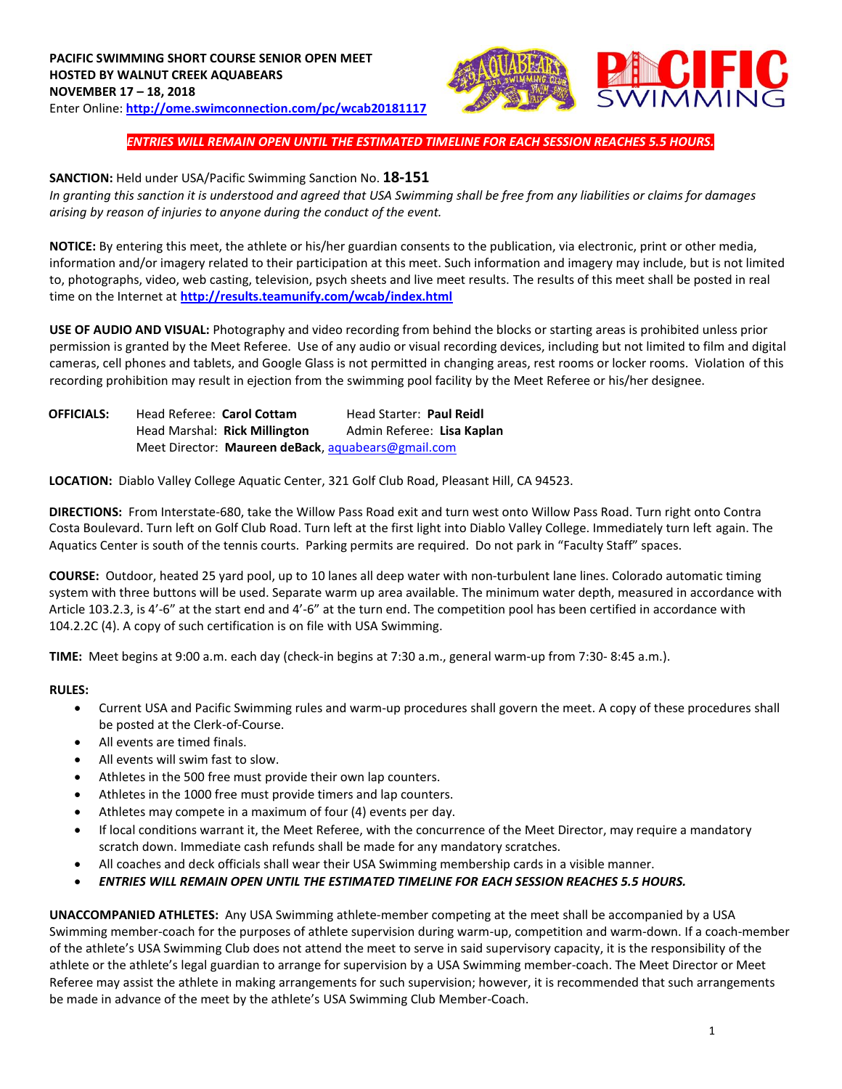

# *ENTRIES WILL REMAIN OPEN UNTIL THE ESTIMATED TIMELINE FOR EACH SESSION REACHES 5.5 HOURS.*

### **SANCTION:** Held under USA/Pacific Swimming Sanction No. **18-151**

*In granting this sanction it is understood and agreed that USA Swimming shall be free from any liabilities or claims for damages arising by reason of injuries to anyone during the conduct of the event.* 

**NOTICE:** By entering this meet, the athlete or his/her guardian consents to the publication, via electronic, print or other media, information and/or imagery related to their participation at this meet. Such information and imagery may include, but is not limited to, photographs, video, web casting, television, psych sheets and live meet results. The results of this meet shall be posted in real time on the Internet at **<http://results.teamunify.com/wcab/index.html>**

**USE OF AUDIO AND VISUAL:** Photography and video recording from behind the blocks or starting areas is prohibited unless prior permission is granted by the Meet Referee. Use of any audio or visual recording devices, including but not limited to film and digital cameras, cell phones and tablets, and Google Glass is not permitted in changing areas, rest rooms or locker rooms. Violation of this recording prohibition may result in ejection from the swimming pool facility by the Meet Referee or his/her designee.

| <b>OFFICIALS:</b> | Head Referee: Carol Cottam                         | <b>Head Starter: Paul Reidl</b> |
|-------------------|----------------------------------------------------|---------------------------------|
|                   | Head Marshal: Rick Millington                      | Admin Referee: Lisa Kaplan      |
|                   | Meet Director: Maureen deBack, aquabears@gmail.com |                                 |

**LOCATION:** Diablo Valley College Aquatic Center, 321 Golf Club Road, Pleasant Hill, CA 94523.

**DIRECTIONS:** From Interstate‐680, take the Willow Pass Road exit and turn west onto Willow Pass Road. Turn right onto Contra Costa Boulevard. Turn left on Golf Club Road. Turn left at the first light into Diablo Valley College. Immediately turn left again. The Aquatics Center is south of the tennis courts. Parking permits are required. Do not park in "Faculty Staff" spaces.

**COURSE:** Outdoor, heated 25 yard pool, up to 10 lanes all deep water with non‐turbulent lane lines. Colorado automatic timing system with three buttons will be used. Separate warm up area available. The minimum water depth, measured in accordance with Article 103.2.3, is 4'‐6" at the start end and 4'‐6" at the turn end. The competition pool has been certified in accordance with 104.2.2C (4). A copy of such certification is on file with USA Swimming.

**TIME:** Meet begins at 9:00 a.m. each day (check‐in begins at 7:30 a.m., general warm‐up from 7:30‐ 8:45 a.m.).

#### **RULES:**

- Current USA and Pacific Swimming rules and warm-up procedures shall govern the meet. A copy of these procedures shall be posted at the Clerk-of-Course.
- All events are timed finals.
- All events will swim fast to slow.
- Athletes in the 500 free must provide their own lap counters.
- Athletes in the 1000 free must provide timers and lap counters.
- Athletes may compete in a maximum of four (4) events per day.
- If local conditions warrant it, the Meet Referee, with the concurrence of the Meet Director, may require a mandatory scratch down. Immediate cash refunds shall be made for any mandatory scratches.
- All coaches and deck officials shall wear their USA Swimming membership cards in a visible manner.
- *ENTRIES WILL REMAIN OPEN UNTIL THE ESTIMATED TIMELINE FOR EACH SESSION REACHES 5.5 HOURS.*

**UNACCOMPANIED ATHLETES:** Any USA Swimming athlete-member competing at the meet shall be accompanied by a USA Swimming member-coach for the purposes of athlete supervision during warm-up, competition and warm-down. If a coach-member of the athlete's USA Swimming Club does not attend the meet to serve in said supervisory capacity, it is the responsibility of the athlete or the athlete's legal guardian to arrange for supervision by a USA Swimming member-coach. The Meet Director or Meet Referee may assist the athlete in making arrangements for such supervision; however, it is recommended that such arrangements be made in advance of the meet by the athlete's USA Swimming Club Member-Coach.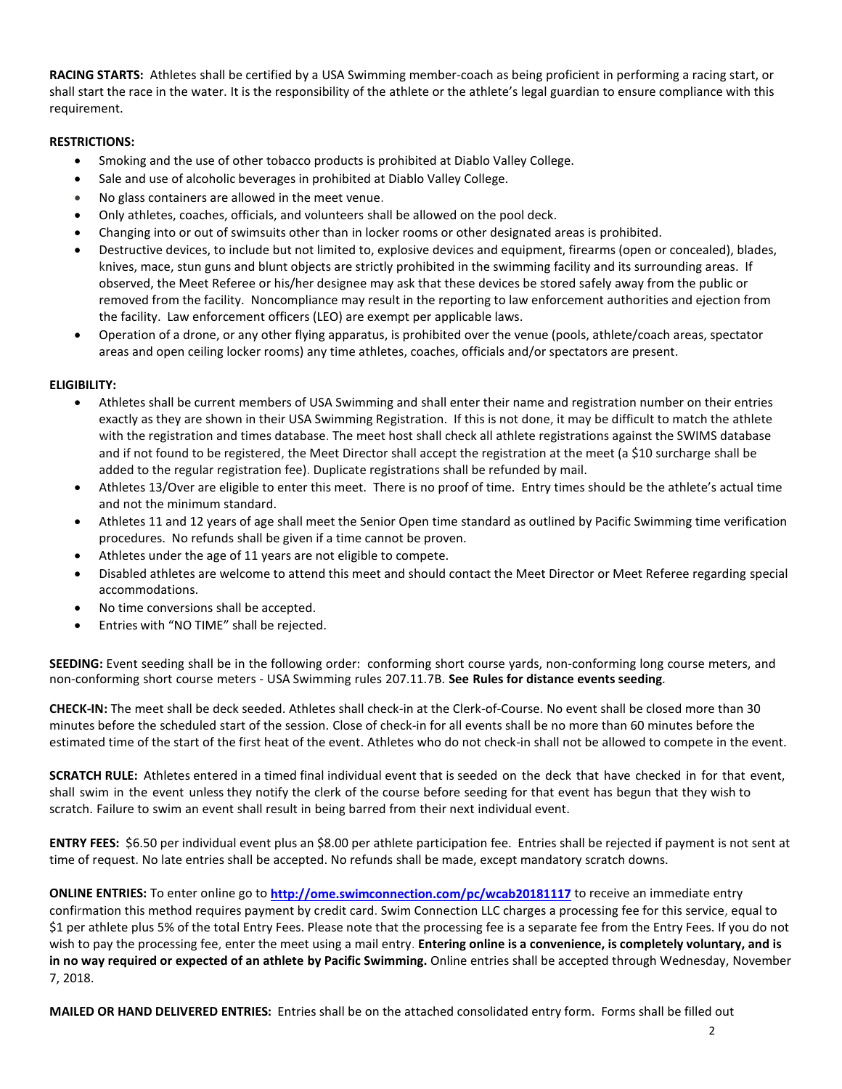**RACING STARTS:** Athletes shall be certified by a USA Swimming member-coach as being proficient in performing a racing start, or shall start the race in the water. It is the responsibility of the athlete or the athlete's legal guardian to ensure compliance with this requirement.

# **RESTRICTIONS:**

- Smoking and the use of other tobacco products is prohibited at Diablo Valley College.
- Sale and use of alcoholic beverages in prohibited at Diablo Valley College.
- No glass containers are allowed in the meet venue.
- Only athletes, coaches, officials, and volunteers shall be allowed on the pool deck.
- Changing into or out of swimsuits other than in locker rooms or other designated areas is prohibited.
- Destructive devices, to include but not limited to, explosive devices and equipment, firearms (open or concealed), blades, knives, mace, stun guns and blunt objects are strictly prohibited in the swimming facility and its surrounding areas. If observed, the Meet Referee or his/her designee may ask that these devices be stored safely away from the public or removed from the facility. Noncompliance may result in the reporting to law enforcement authorities and ejection from the facility. Law enforcement officers (LEO) are exempt per applicable laws.
- Operation of a drone, or any other flying apparatus, is prohibited over the venue (pools, athlete/coach areas, spectator areas and open ceiling locker rooms) any time athletes, coaches, officials and/or spectators are present.

## **ELIGIBILITY:**

- Athletes shall be current members of USA Swimming and shall enter their name and registration number on their entries exactly as they are shown in their USA Swimming Registration. If this is not done, it may be difficult to match the athlete with the registration and times database. The meet host shall check all athlete registrations against the SWIMS database and if not found to be registered, the Meet Director shall accept the registration at the meet (a \$10 surcharge shall be added to the regular registration fee). Duplicate registrations shall be refunded by mail.
- Athletes 13/Over are eligible to enter this meet. There is no proof of time. Entry times should be the athlete's actual time and not the minimum standard.
- Athletes 11 and 12 years of age shall meet the Senior Open time standard as outlined by Pacific Swimming time verification procedures. No refunds shall be given if a time cannot be proven.
- Athletes under the age of 11 years are not eligible to compete.
- Disabled athletes are welcome to attend this meet and should contact the Meet Director or Meet Referee regarding special accommodations.
- No time conversions shall be accepted.
- Entries with "NO TIME" shall be rejected.

**SEEDING:** Event seeding shall be in the following order: conforming short course yards, non-conforming long course meters, and non-conforming short course meters - USA Swimming rules 207.11.7B. **See Rules for distance events seeding**.

**CHECK-IN:** The meet shall be deck seeded. Athletes shall check-in at the Clerk-of-Course. No event shall be closed more than 30 minutes before the scheduled start of the session. Close of check‐in for all events shall be no more than 60 minutes before the estimated time of the start of the first heat of the event. Athletes who do not check-in shall not be allowed to compete in the event.

**SCRATCH RULE:** Athletes entered in a timed final individual event that is seeded on the deck that have checked in for that event, shall swim in the event unless they notify the clerk of the course before seeding for that event has begun that they wish to scratch. Failure to swim an event shall result in being barred from their next individual event.

**ENTRY FEES:** \$6.50 per individual event plus an \$8.00 per athlete participation fee. Entries shall be rejected if payment is not sent at time of request. No late entries shall be accepted. No refunds shall be made, except mandatory scratch downs.

**ONLINE ENTRIES:** To enter online go to **<http://ome.swimconnection.com/pc/wcab20181117>** to receive an immediate entry confirmation this method requires payment by credit card. Swim Connection LLC charges a processing fee for this service, equal to \$1 per athlete plus 5% of the total Entry Fees. Please note that the processing fee is a separate fee from the Entry Fees. If you do not wish to pay the processing fee, enter the meet using a mail entry. **Entering online is a convenience, is completely voluntary, and is in no way required or expected of an athlete by Pacific Swimming.** Online entries shall be accepted through Wednesday, November 7, 2018.

**MAILED OR HAND DELIVERED ENTRIES:** Entries shall be on the attached consolidated entry form. Forms shall be filled out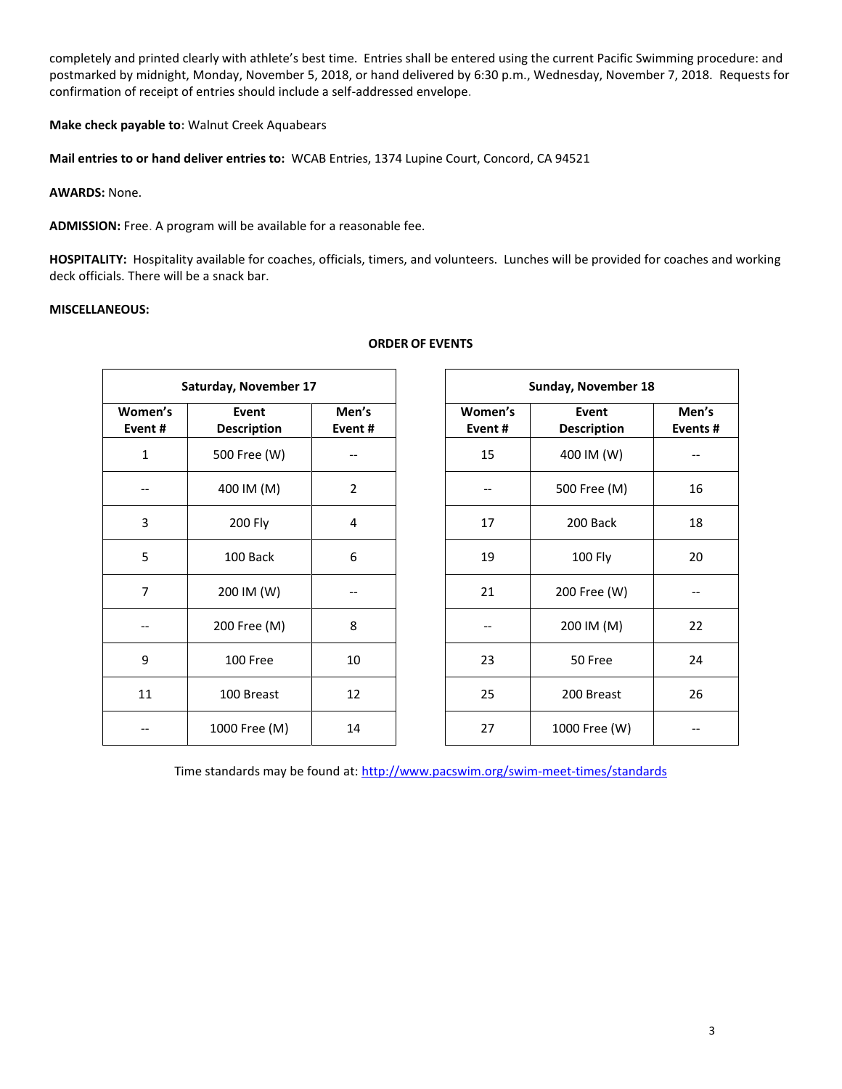completely and printed clearly with athlete's best time. Entries shall be entered using the current Pacific Swimming procedure: and postmarked by midnight, Monday, November 5, 2018, or hand delivered by 6:30 p.m., Wednesday, November 7, 2018. Requests for confirmation of receipt of entries should include a self-addressed envelope.

**Make check payable to:** Walnut Creek Aquabears

**Mail entries to or hand deliver entries to:** WCAB Entries, 1374 Lupine Court, Concord, CA 94521

**AWARDS:** None.

**ADMISSION:** Free. A program will be available for a reasonable fee.

**HOSPITALITY:** Hospitality available for coaches, officials, timers, and volunteers. Lunches will be provided for coaches and working deck officials. There will be a snack bar.

# **MISCELLANEOUS:**

|                                                  | Saturday, November 17 |                 | Sunday, November 18 |                             |              |  |  |  |
|--------------------------------------------------|-----------------------|-----------------|---------------------|-----------------------------|--------------|--|--|--|
| Women's<br>Event<br>Event#<br><b>Description</b> |                       | Men's<br>Event# | Women's<br>Event#   | Event<br><b>Description</b> | Men<br>Event |  |  |  |
| $\mathbf{1}$                                     | 500 Free (W)          |                 | 15                  | 400 IM (W)                  |              |  |  |  |
|                                                  | 400 IM (M)            | $\overline{2}$  |                     | 500 Free (M)                | 16           |  |  |  |
| 3                                                | 200 Fly               | 4               | 17                  | 200 Back                    | 18           |  |  |  |
| 5                                                | 100 Back              | 6               | 19                  | 100 Fly                     | 20           |  |  |  |
| $\overline{7}$                                   | 200 IM (W)            |                 | 21                  | 200 Free (W)                |              |  |  |  |
|                                                  | 200 Free (M)          | 8               |                     | 200 IM (M)                  | 22           |  |  |  |
| 9                                                | 100 Free              | 10              | 23                  | 50 Free                     | 24           |  |  |  |
| 11                                               | 100 Breast            | 12              | 25                  | 200 Breast                  | 26           |  |  |  |
|                                                  | 1000 Free (M)         | 14              | 27                  | 1000 Free (W)               | $-$          |  |  |  |

#### **ORDER OF EVENTS**

|                | Saturday, November 17       |                 | Sunday, November 18 |  |                             |
|----------------|-----------------------------|-----------------|---------------------|--|-----------------------------|
| nen's<br>ent # | Event<br><b>Description</b> | Men's<br>Event# | Women's<br>Event#   |  | Event<br><b>Description</b> |
|                | 500 Free (W)                |                 | 15                  |  | 400 IM (W)                  |
|                | 400 IM (M)                  | $\overline{2}$  |                     |  | 500 Free (M)                |
|                | 200 Fly                     | 4               | 17                  |  | 200 Back                    |
|                | 100 Back                    | 6               | 19                  |  | 100 Fly                     |
|                | 200 IM (W)                  |                 | 21                  |  | 200 Free (W)                |
|                | 200 Free (M)                | 8               |                     |  | 200 IM (M)                  |
|                | 100 Free                    | 10              | 23                  |  | 50 Free                     |
|                | 100 Breast                  | 12              | 25                  |  | 200 Breast                  |
|                | 1000 Free (M)               | 14              | 27                  |  | 1000 Free (W)               |
|                |                             |                 |                     |  |                             |

Time standards may be found at:<http://www.pacswim.org/swim-meet-times/standards>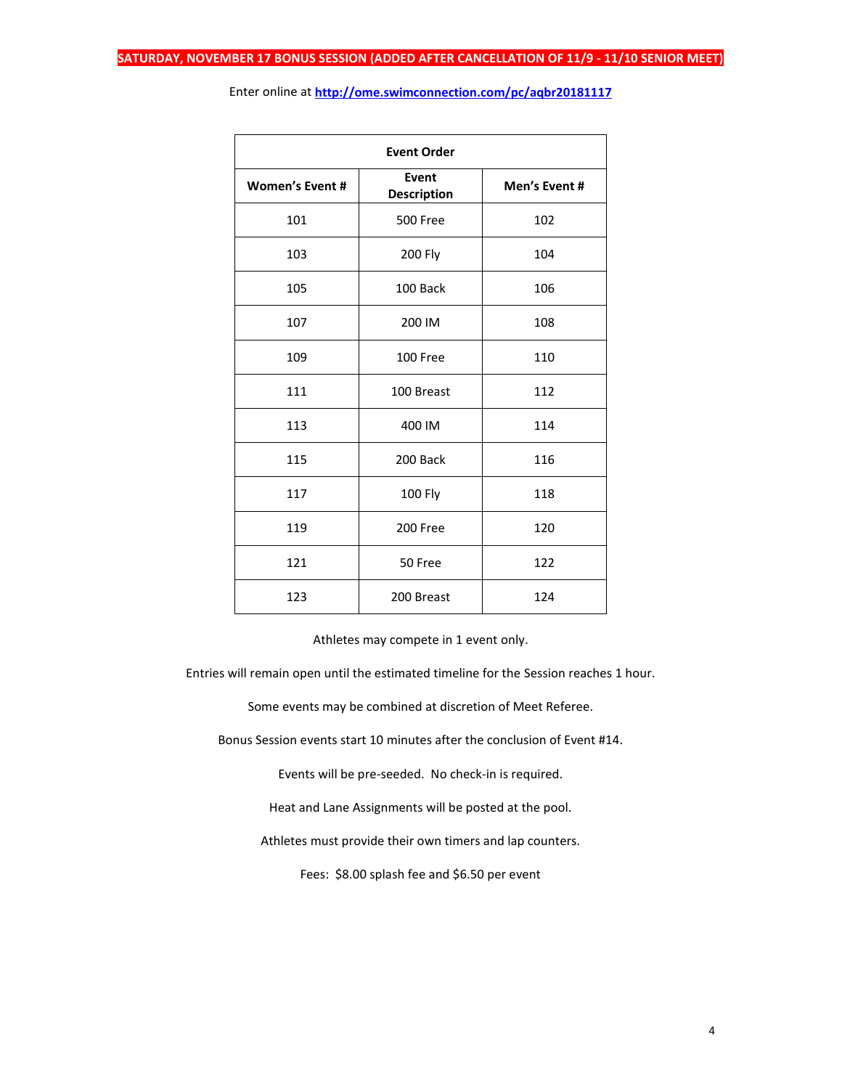| <b>Event Order</b>     |                             |               |  |  |  |  |  |  |
|------------------------|-----------------------------|---------------|--|--|--|--|--|--|
| <b>Women's Event #</b> | Event<br><b>Description</b> | Men's Event # |  |  |  |  |  |  |
| 101                    | <b>500 Free</b>             | 102           |  |  |  |  |  |  |
| 103                    | <b>200 Fly</b>              | 104           |  |  |  |  |  |  |
| 105                    | 100 Back                    | 106           |  |  |  |  |  |  |
| 107                    | 200 IM                      | 108           |  |  |  |  |  |  |
| 109                    | 100 Free                    | 110           |  |  |  |  |  |  |
| 111                    | 100 Breast                  | 112           |  |  |  |  |  |  |
| 113                    | 400 IM                      | 114           |  |  |  |  |  |  |
| 115                    | 200 Back                    | 116           |  |  |  |  |  |  |
| 117                    | <b>100 Fly</b>              | 118           |  |  |  |  |  |  |
| 119                    | 200 Free                    | 120           |  |  |  |  |  |  |
| 121                    | 50 Free                     | 122           |  |  |  |  |  |  |
| 123                    | 200 Breast                  | 124           |  |  |  |  |  |  |

Enter online at **<http://ome.swimconnection.com/pc/aqbr20181117>**

Athletes may compete in 1 event only.

Entries will remain open until the estimated timeline for the Session reaches 1 hour.

Some events may be combined at discretion of Meet Referee.

Bonus Session events start 10 minutes after the conclusion of Event #14.

Events will be pre-seeded. No check-in is required.

Heat and Lane Assignments will be posted at the pool.

Athletes must provide their own timers and lap counters.

Fees: \$8.00 splash fee and \$6.50 per event